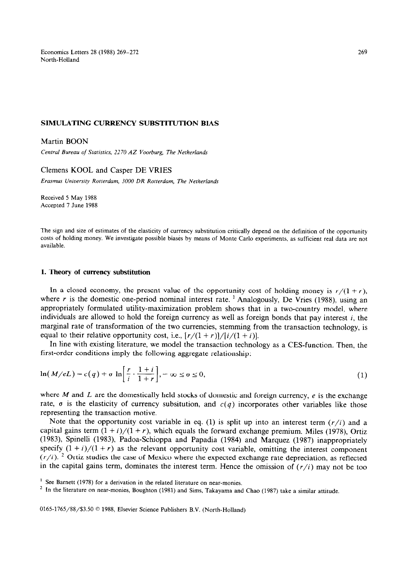Economics Letters 28 (1988) 269-272 North-Holland

### SIMULATING CURRENCY SUBSTITUTION BIAS

# Martin BOON

Central *Bureau of Statistics, 2270 AZ Voorburg, The Netherlands* 

# Clemens KOOL and Casper DE VRIES

*Erasmus University Rotterdam, 3000 DR Rotterdam, The Netherlands* 

Received 5 May 1988 Accepted 7 June 1988

The sign and size of estimates of the elasticity of currency substitution critically depend on the definition of the opportunity costs of holding money. We investigate possible biases by means of Monte Carlo experiments, as sufficient real data are not available.

### **1. Theory of currency substitution**

In a closed economy, the present value of the opportunity cost of holding money is  $r/(1 + r)$ , where  $r$  is the domestic one-period nominal interest rate.<sup>1</sup> Analogously, De Vries (1988), using an appropriately formulated utility-maximization problem shows that in a two-country model, where individuals are allowed to hold the foreign currency as well as foreign bonds that pay interest  $i$ , the marginal rate of transformation of the two currencies, stemming from the transaction technology, is equal to their relative opportunity cost, i.e.,  $\frac{r}{(1+r)}$ / $\frac{1}{i}(1+i)$ .

In line with existing literature, we model the transaction technology as a CES-function. Then, the first-order conditions imply the following aggregate relationship:

$$
\ln(M/eL) = c(q) + \sigma \ln\left[\frac{r}{i} \cdot \frac{1+i}{1+r}\right], -\infty \le \sigma \le 0,
$$
\n(1)

where  $M$  and  $L$  are the domestically held stocks of domestic and foreign currency,  $e$  is the exchange rate,  $\sigma$  is the elasticity of currency subsitution, and  $c(q)$  incorporates other variables like those representing the transaction motive.

Note that the opportunity cost variable in eq. (1) is split up into an interest term  $(r/i)$  and a capital gains term  $(1 + i)/(1 + r)$ , which equals the forward exchange premium. Miles (1978), Ortiz (1983), Spinelli (1983), Padoa-Schioppa and Papadia (1984) and Marquez (1987) inappropriately specify  $(1 + i)/(1 + r)$  as the relevant opportunity cost variable, omitting the interest component  $(r/i)$ . <sup>2</sup> Ortiz studies the case of Mexico where the expected exchange rate depreciation, as reflected in the capital gains term, dominates the interest term. Hence the omission of  $(r/i)$  may not be too

*0165-1765/88/\$3.50 0 1988,* Elsevier Science Publishers B.V. (North-Holland)

<sup>&</sup>lt;sup>1</sup> See Barnett (1978) for a derivation in the related literature on near-monies.

<sup>&#</sup>x27; In the literature on near-monies, Boughton (1981) and Sims, Takayama and Chao *(1987)* take a similar attitude.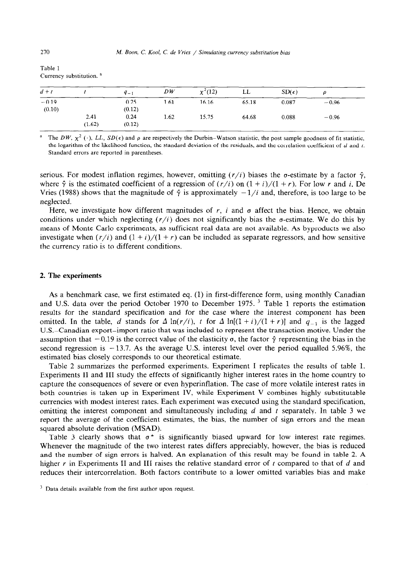| Table 1 |                                     |          |    |           |  |
|---------|-------------------------------------|----------|----|-----------|--|
|         | Currency substitution. <sup>a</sup> |          |    |           |  |
| $d + t$ |                                     | $q_{-1}$ | DW | $x^2(12)$ |  |

| $d + t$ |        | $q_{-1}$ | DW   | $\chi^2(12)$ | LL    | $SD(\epsilon)$ | o       |  |
|---------|--------|----------|------|--------------|-------|----------------|---------|--|
| $-0.19$ |        | 0.25     | 1.61 | 16.16        | 65.18 | 0.087          | $-0.96$ |  |
| (0.10)  |        | (0.12)   |      |              |       |                |         |  |
|         | 2.41   | 0.24     | 1.62 | 15.75        | 64.68 | 0.088          | $-0.96$ |  |
|         | (1.62) | (0.12)   |      |              |       |                |         |  |

The DW,  $\chi^2$  (.), LL, SD( $\epsilon$ ) and  $\rho$  are respectively the Durbin-Watson statistic, the post sample goodness of fit statistic, the logarithm of the likelihood function, the standard deviation of the residuals, and the correlation coefficient of *d* and t. Standard errors are reported in parentheses.

serious. For modest inflation regimes, however, omitting  $(r/i)$  biases the  $\sigma$ -estimate by a factor  $\hat{\gamma}$ , where  $\hat{\gamma}$  is the estimated coefficient of a regression of  $(r/i)$  on  $(1+i)/(1+r)$ . For low *r* and *i*, De Vries (1988) shows that the magnitude of  $\hat{\gamma}$  is approximately  $-1/i$  and, therefore, is too large to be neglected.

Here, we investigate how different magnitudes of  $r$ ,  $i$  and  $\sigma$  affect the bias. Hence, we obtain conditions under which neglecting  $(r/i)$  does not significantly bias the  $\sigma$ -estimate. We do this by means of Monte Carlo experiments, as sufficient real data are not available. As byproducts we also investigate when  $(r/i)$  and  $(1 + i)/(1 + r)$  can be included as separate regressors, and how sensitive the currency ratio is to different conditions.

## 2. The **experiments**

As a benchmark case, we first estimated eq. (1) in first-difference form, using monthly Canadian and U.S. data over the period October 1970 to December 1975.<sup>3</sup> Table 1 reports the estimation results for the standard specification and for the case where the interest component has been omitted. In the table, *d* stands for  $\Delta \ln(r/i)$ , *t* for  $\Delta \ln[(1+i)/(1+r)]$  and  $q_{-1}$  is the lagged U.S.-Canadian export-import ratio that was included to represent the transaction motive. Under the assumption that  $-0.19$  is the correct value of the elasticity  $\sigma$ , the factor  $\hat{\gamma}$  representing the bias in the second regression is  $-13.7$ . As the average U.S. interest level over the period equalled 5.96%, the estimated bias closely corresponds to our theoretical estimate.

Table 2 summarizes the performed experiments. Experiment I replicates the results of table 1. Experiments II and III study the effects of significantly higher interest rates in the home country to capture the consequences of severe or even hyperinflation. The case of more volatile interest rates in both countries is taken up in Experiment IV, while Experiment V combines highly substitutable currencies with modest interest rates. Each experiment was executed using the standard specification, omitting the interest component and simultaneously including *d* and t separately. In table 3 we report the average of the coefficient estimates, the bias, the number of sign errors and the mean squared absolute derivation (MSAD).

Table 3 clearly shows that  $\sigma^*$  is significantly biased upward for low interest rate regimes. Whenever the magnitude of the two interest rates differs appreciably, however, the bias is reduced and the number of sign errors is halved. An explanation of this result may be found in table 2. A higher *r* in Experiments II and III raises the relative standard error of *t* compared to that of *d* and reduces their intercorrelation. Both factors contribute to a lower omitted variables bias and make

<sup>&</sup>lt;sup>3</sup> Data details available from the first author upon request.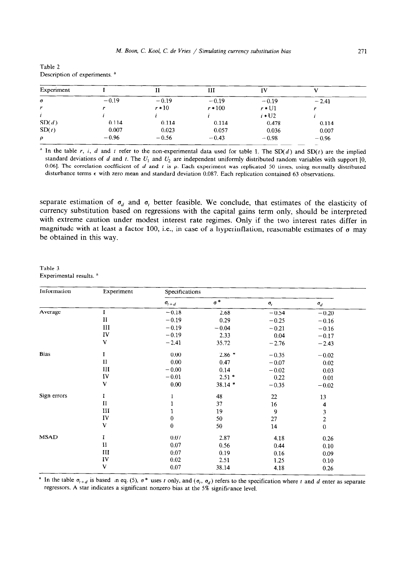| Table 2 |                                          |  |
|---------|------------------------------------------|--|
|         | Description of experiments. <sup>a</sup> |  |

| Experiment |         |          | ш         | IV           |         |  |
|------------|---------|----------|-----------|--------------|---------|--|
| $\sigma$   | $-0.19$ | $-0.19$  | $-0.19$   | $-0.19$      | $-2.41$ |  |
| r          |         | $r * 10$ | $r * 100$ | $r * U1$     |         |  |
|            |         |          |           | $\iota$ + U2 |         |  |
| SD(d)      | 0.114   | 0.114    | 0.114     | 0.478        | 0.114   |  |
| SD(t)      | 0.007   | 0.023    | 0.057     | 0.036        | 0.007   |  |
| ρ          | $-0.96$ | $-0.56$  | $-0.43$   | $-0.98$      | $-0.96$ |  |

<sup>a</sup> In the table r, *i*, *d* and *t* refer to the non-experimental data used for table 1. The SD(*d*) and SD(*t*) are the implied standard deviations of *d* and *t*. The  $U_1$  and  $U_2$  are independent uniformly distributed random variables with support [0, 0.06]. The correlation coefficient of  $d$  and  $t$  is  $\rho$ . Each experiment was replicated 50 times, using normally distributed disturbance terms  $\epsilon$  with zero mean and standard deviation 0.087. Each replication contained 63 observations.

separate estimation of  $\sigma_d$  and  $\sigma_t$  better feasible. We conclude, that estimates of the elasticity of currency substitution based on regressions with the capital gains term only, should be interpreted with extreme caution under modest interest rate regimes. Only if the two interest rates differ in magnitude with at least a factor 100, i.e., in case of a hyperinflation, reasonable estimates of  $\sigma$  may be obtained in this way.

Table 3 Experimental results.<sup>a</sup>

| Information | Experiment    | Specifications   |            |              |                                                                   |  |
|-------------|---------------|------------------|------------|--------------|-------------------------------------------------------------------|--|
|             |               | $\sigma_{t+d}$   | $\sigma^*$ | $\sigma_{t}$ | $\sigma_d$                                                        |  |
| Average     | $\mathbf I$   | $-0.18$          | 2.68       | $-0.54$      | $-0.20$                                                           |  |
|             | $\mathbf{I}$  | $-0.19$          | 0.29       | $-0.25$      | $-0.16$                                                           |  |
|             | III           | $-0.19$          | $-0.04$    | $-0.21$      | $-0.16$                                                           |  |
|             | IV            | $-0.19$          | 2.33       | 0.04         | $-0.17$                                                           |  |
|             | V             | $-2.41$          | 35.72      | $-2.76$      | $-2.43$                                                           |  |
| <b>Bias</b> | I             | 0.00             | $2.86$ *   | $-0.35$      | $-0.02$                                                           |  |
|             | $\mathbf{I}$  | 0.00             | 0.47       | $-0.07$      | 0.02                                                              |  |
|             | III           | $-0.00$          | 0.14       | $-0.02$      |                                                                   |  |
|             | IV            | $-0.01$          | $2.51*$    | 0.22         |                                                                   |  |
|             | $\mathbf{V}$  | 0.00             | 38.14 *    | $-0.35$      | $-0.02$                                                           |  |
| Sign errors | I             | $\bf{l}$         | 48         | 22           |                                                                   |  |
|             | $\mathbf{I}$  | 1                | 37         | 16           |                                                                   |  |
|             | Ш             | 1                | 19         | 9            |                                                                   |  |
|             | IV            | $\boldsymbol{0}$ | 50         | 27           | 0.03<br>0.01<br>13<br>$\overline{\mathbf{4}}$<br>3<br>$\mathbf 2$ |  |
|             | V             | $\pmb{0}$        | 50         | 14           | $\mathbf 0$                                                       |  |
| <b>MSAD</b> | I             | 0.07             | 2.87       | 4.18         | 0.26                                                              |  |
|             | $\mathbf{I}$  | 0.07             | 0.56       | 0.44         | 0.10                                                              |  |
|             | Ш             | 0.07             | 0.19       | 0.16         | 0.09                                                              |  |
|             | $\mathbf{IV}$ | 0.02             | 2.51       | 1.25         | 0.10                                                              |  |
|             | V             | 0.07             | 38.14      | 4.18         | 0.26                                                              |  |

<sup>a</sup> In the table  $\sigma_{t+d}$  is based n eq. (5),  $\sigma^*$  uses t only, and ( $\sigma_t$ ,  $\sigma_d$ ) refers to the specification where t and d enter as separate regressors. A star indicates a significant nonzero bias at the 5% significance level.